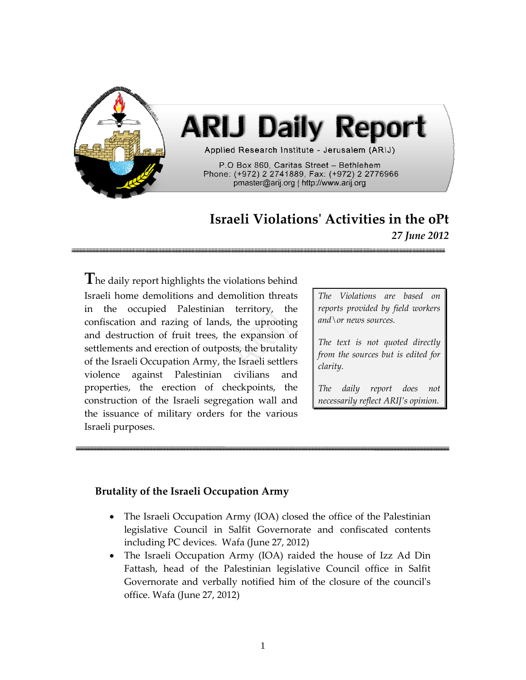

# **Israeli Violationsʹ Activities in the oPt** *27 June 2012*

**T**he daily report highlights the violations behind Israeli home demolitions and demolition threats in the occupied Palestinian territory, the confiscation and razing of lands, the uprooting and destruction of fruit trees, the expansion of settlements and erection of outposts, the brutality of the Israeli Occupation Army, the Israeli settlers violence against Palestinian civilians and properties, the erection of checkpoints, the construction of the Israeli segregation wall and the issuance of military orders for the various Israeli purposes.

*The Violations are based on reports provided by field workers and\or news sources.*

*The text is not quoted directly from the sources but is edited for clarity.*

*The daily report does not necessarily reflect ARIJ's opinion.*

#### **Brutality of the Israeli Occupation Army**

- The Israeli Occupation Army (IOA) closed the office of the Palestinian legislative Council in Salfit Governorate and confiscated contents including PC devices. Wafa (June 27, 2012)
- The Israeli Occupation Army (IOA) raided the house of Izz Ad Din Fattash, head of the Palestinian legislative Council office in Salfit Governorate and verbally notified him of the closure of the council's office. Wafa (June 27, 2012)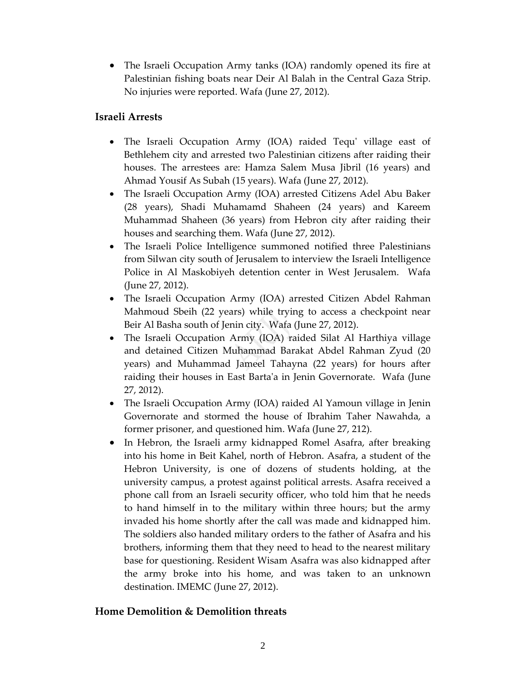• The Israeli Occupation Army tanks (IOA) randomly opened its fire at Palestinian fishing boats near Deir Al Balah in the Central Gaza Strip. No injuries were reported. Wafa (June 27, 2012).

## **Israeli Arrests**

- The Israeli Occupation Army (IOA) raided Tequ' village east of Bethlehem city and arrested two Palestinian citizens after raiding their houses. The arrestees are: Hamza Salem Musa Jibril (16 years) and Ahmad Yousif As Subah (15 years). Wafa (June 27, 2012).
- The Israeli Occupation Army (IOA) arrested Citizens Adel Abu Baker (28 years), Shadi Muhamamd Shaheen (24 years) and Kareem Muhammad Shaheen (36 years) from Hebron city after raiding their houses and searching them. Wafa (June 27, 2012).
- The Israeli Police Intelligence summoned notified three Palestinians from Silwan city south of Jerusalem to interview the Israeli Intelligence Police in Al Maskobiyeh detention center in West Jerusalem. Wafa (June 27, 2012).
- The Israeli Occupation Army (IOA) arrested Citizen Abdel Rahman Mahmoud Sbeih (22 years) while trying to access a checkpoint near Beir Al Basha south of Jenin city. Wafa (June 27, 2012).
- The Israeli Occupation Army (IOA) raided Silat Al Harthiya village and detained Citizen Muhammad Barakat Abdel Rahman Zyud (20 years) and Muhammad Jameel Tahayna (22 years) for hours after raiding their houses in East Bartaʹa in Jenin Governorate. Wafa (June 27, 2012).
- The Israeli Occupation Army (IOA) raided Al Yamoun village in Jenin Governorate and stormed the house of Ibrahim Taher Nawahda, a former prisoner, and questioned him. Wafa (June 27, 212).
- In Hebron, the Israeli army kidnapped Romel Asafra, after breaking into his home in Beit Kahel, north of Hebron. Asafra, a student of the Hebron University, is one of dozens of students holding, at the university campus, a protest against political arrests. Asafra received a phone call from an Israeli security officer, who told him that he needs to hand himself in to the military within three hours; but the army invaded his home shortly after the call was made and kidnapped him. The soldiers also handed military orders to the father of Asafra and his brothers, informing them that they need to head to the nearest military base for questioning. Resident Wisam Asafra was also kidnapped after the army broke into his home, and was taken to an unknown destination. IMEMC (June 27, 2012).

# **Home Demolition & Demolition threats**